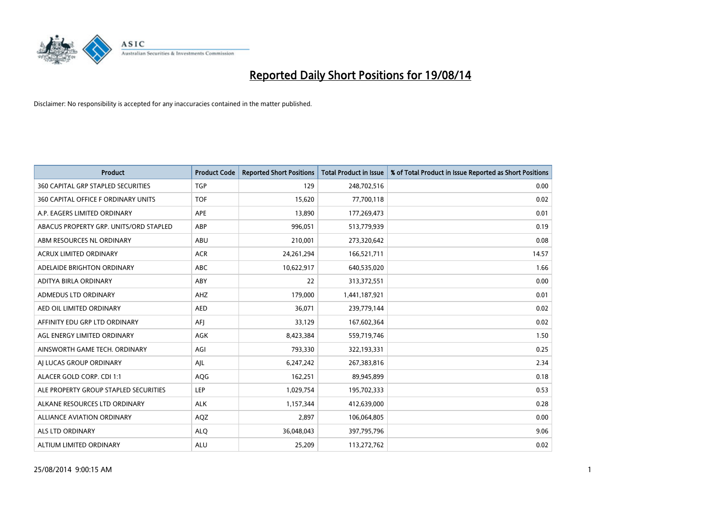

| <b>Product</b>                            | <b>Product Code</b> | <b>Reported Short Positions</b> | <b>Total Product in Issue</b> | % of Total Product in Issue Reported as Short Positions |
|-------------------------------------------|---------------------|---------------------------------|-------------------------------|---------------------------------------------------------|
| <b>360 CAPITAL GRP STAPLED SECURITIES</b> | <b>TGP</b>          | 129                             | 248,702,516                   | 0.00                                                    |
| 360 CAPITAL OFFICE F ORDINARY UNITS       | <b>TOF</b>          | 15,620                          | 77,700,118                    | 0.02                                                    |
| A.P. EAGERS LIMITED ORDINARY              | APE                 | 13,890                          | 177,269,473                   | 0.01                                                    |
| ABACUS PROPERTY GRP. UNITS/ORD STAPLED    | ABP                 | 996,051                         | 513,779,939                   | 0.19                                                    |
| ABM RESOURCES NL ORDINARY                 | ABU                 | 210,001                         | 273,320,642                   | 0.08                                                    |
| ACRUX LIMITED ORDINARY                    | <b>ACR</b>          | 24, 261, 294                    | 166,521,711                   | 14.57                                                   |
| ADELAIDE BRIGHTON ORDINARY                | ABC                 | 10,622,917                      | 640,535,020                   | 1.66                                                    |
| ADITYA BIRLA ORDINARY                     | ABY                 | 22                              | 313,372,551                   | 0.00                                                    |
| ADMEDUS LTD ORDINARY                      | AHZ                 | 179,000                         | 1,441,187,921                 | 0.01                                                    |
| AED OIL LIMITED ORDINARY                  | <b>AED</b>          | 36,071                          | 239,779,144                   | 0.02                                                    |
| AFFINITY EDU GRP LTD ORDINARY             | AFI                 | 33,129                          | 167,602,364                   | 0.02                                                    |
| AGL ENERGY LIMITED ORDINARY               | <b>AGK</b>          | 8,423,384                       | 559,719,746                   | 1.50                                                    |
| AINSWORTH GAME TECH. ORDINARY             | AGI                 | 793,330                         | 322,193,331                   | 0.25                                                    |
| AI LUCAS GROUP ORDINARY                   | AJL                 | 6,247,242                       | 267,383,816                   | 2.34                                                    |
| ALACER GOLD CORP. CDI 1:1                 | AQG                 | 162,251                         | 89,945,899                    | 0.18                                                    |
| ALE PROPERTY GROUP STAPLED SECURITIES     | LEP                 | 1,029,754                       | 195,702,333                   | 0.53                                                    |
| ALKANE RESOURCES LTD ORDINARY             | <b>ALK</b>          | 1,157,344                       | 412,639,000                   | 0.28                                                    |
| ALLIANCE AVIATION ORDINARY                | AQZ                 | 2,897                           | 106,064,805                   | 0.00                                                    |
| ALS LTD ORDINARY                          | <b>ALQ</b>          | 36,048,043                      | 397,795,796                   | 9.06                                                    |
| ALTIUM LIMITED ORDINARY                   | <b>ALU</b>          | 25,209                          | 113,272,762                   | 0.02                                                    |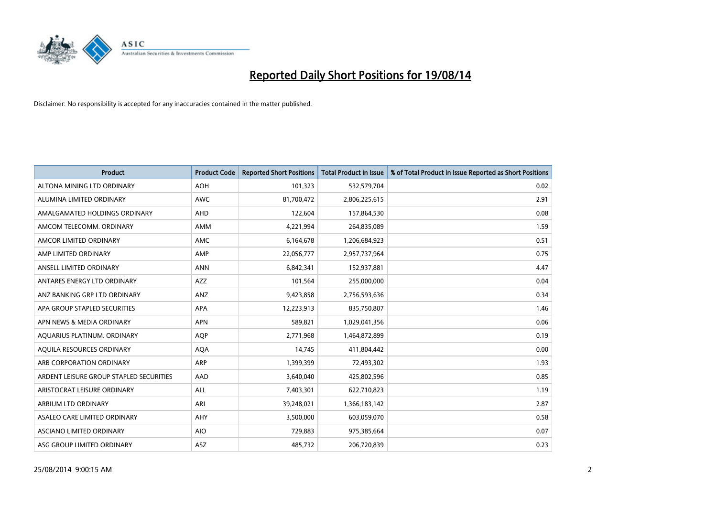

| <b>Product</b>                          | <b>Product Code</b> | <b>Reported Short Positions</b> | <b>Total Product in Issue</b> | % of Total Product in Issue Reported as Short Positions |
|-----------------------------------------|---------------------|---------------------------------|-------------------------------|---------------------------------------------------------|
| ALTONA MINING LTD ORDINARY              | <b>AOH</b>          | 101,323                         | 532,579,704                   | 0.02                                                    |
| ALUMINA LIMITED ORDINARY                | AWC                 | 81,700,472                      | 2,806,225,615                 | 2.91                                                    |
| AMALGAMATED HOLDINGS ORDINARY           | AHD                 | 122,604                         | 157,864,530                   | 0.08                                                    |
| AMCOM TELECOMM, ORDINARY                | AMM                 | 4,221,994                       | 264,835,089                   | 1.59                                                    |
| AMCOR LIMITED ORDINARY                  | AMC                 | 6,164,678                       | 1,206,684,923                 | 0.51                                                    |
| AMP LIMITED ORDINARY                    | AMP                 | 22,056,777                      | 2,957,737,964                 | 0.75                                                    |
| ANSELL LIMITED ORDINARY                 | <b>ANN</b>          | 6,842,341                       | 152,937,881                   | 4.47                                                    |
| ANTARES ENERGY LTD ORDINARY             | AZZ                 | 101,564                         | 255,000,000                   | 0.04                                                    |
| ANZ BANKING GRP LTD ORDINARY            | ANZ                 | 9,423,858                       | 2,756,593,636                 | 0.34                                                    |
| APA GROUP STAPLED SECURITIES            | <b>APA</b>          | 12,223,913                      | 835,750,807                   | 1.46                                                    |
| APN NEWS & MEDIA ORDINARY               | <b>APN</b>          | 589,821                         | 1,029,041,356                 | 0.06                                                    |
| AQUARIUS PLATINUM. ORDINARY             | <b>AOP</b>          | 2,771,968                       | 1,464,872,899                 | 0.19                                                    |
| AQUILA RESOURCES ORDINARY               | <b>AQA</b>          | 14,745                          | 411,804,442                   | 0.00                                                    |
| ARB CORPORATION ORDINARY                | <b>ARP</b>          | 1,399,399                       | 72,493,302                    | 1.93                                                    |
| ARDENT LEISURE GROUP STAPLED SECURITIES | AAD                 | 3,640,040                       | 425,802,596                   | 0.85                                                    |
| ARISTOCRAT LEISURE ORDINARY             | ALL                 | 7,403,301                       | 622,710,823                   | 1.19                                                    |
| ARRIUM LTD ORDINARY                     | ARI                 | 39,248,021                      | 1,366,183,142                 | 2.87                                                    |
| ASALEO CARE LIMITED ORDINARY            | AHY                 | 3,500,000                       | 603,059,070                   | 0.58                                                    |
| ASCIANO LIMITED ORDINARY                | <b>AIO</b>          | 729,883                         | 975,385,664                   | 0.07                                                    |
| ASG GROUP LIMITED ORDINARY              | ASZ                 | 485,732                         | 206,720,839                   | 0.23                                                    |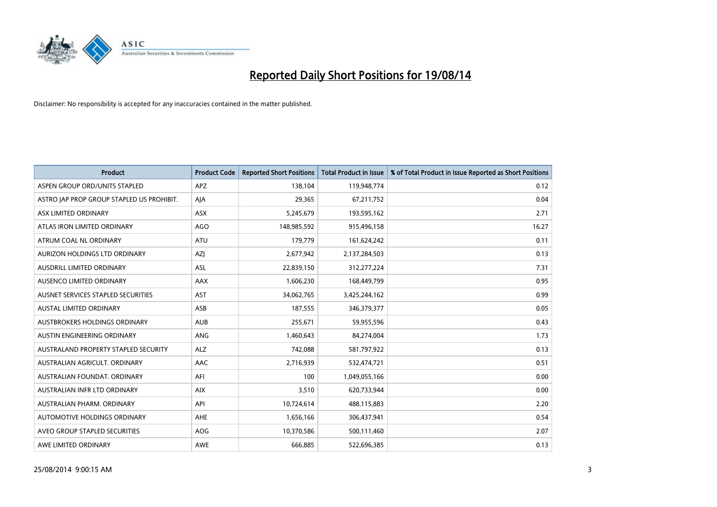

| Product                                   | <b>Product Code</b> | <b>Reported Short Positions</b> | Total Product in Issue | % of Total Product in Issue Reported as Short Positions |
|-------------------------------------------|---------------------|---------------------------------|------------------------|---------------------------------------------------------|
| ASPEN GROUP ORD/UNITS STAPLED             | <b>APZ</b>          | 138,104                         | 119,948,774            | 0.12                                                    |
| ASTRO JAP PROP GROUP STAPLED US PROHIBIT. | AJA                 | 29,365                          | 67,211,752             | 0.04                                                    |
| ASX LIMITED ORDINARY                      | <b>ASX</b>          | 5,245,679                       | 193,595,162            | 2.71                                                    |
| ATLAS IRON LIMITED ORDINARY               | <b>AGO</b>          | 148,985,592                     | 915,496,158            | 16.27                                                   |
| ATRUM COAL NL ORDINARY                    | <b>ATU</b>          | 179,779                         | 161,624,242            | 0.11                                                    |
| AURIZON HOLDINGS LTD ORDINARY             | AZJ                 | 2,677,942                       | 2,137,284,503          | 0.13                                                    |
| AUSDRILL LIMITED ORDINARY                 | <b>ASL</b>          | 22,839,150                      | 312,277,224            | 7.31                                                    |
| AUSENCO LIMITED ORDINARY                  | AAX                 | 1,606,230                       | 168,449,799            | 0.95                                                    |
| AUSNET SERVICES STAPLED SECURITIES        | <b>AST</b>          | 34,062,765                      | 3,425,244,162          | 0.99                                                    |
| <b>AUSTAL LIMITED ORDINARY</b>            | ASB                 | 187,555                         | 346,379,377            | 0.05                                                    |
| AUSTBROKERS HOLDINGS ORDINARY             | <b>AUB</b>          | 255,671                         | 59,955,596             | 0.43                                                    |
| AUSTIN ENGINEERING ORDINARY               | ANG                 | 1,460,643                       | 84,274,004             | 1.73                                                    |
| AUSTRALAND PROPERTY STAPLED SECURITY      | <b>ALZ</b>          | 742,088                         | 581,797,922            | 0.13                                                    |
| AUSTRALIAN AGRICULT. ORDINARY             | AAC                 | 2,716,939                       | 532,474,721            | 0.51                                                    |
| AUSTRALIAN FOUNDAT, ORDINARY              | AFI                 | 100                             | 1,049,055,166          | 0.00                                                    |
| AUSTRALIAN INFR LTD ORDINARY              | <b>AIX</b>          | 3,510                           | 620,733,944            | 0.00                                                    |
| AUSTRALIAN PHARM. ORDINARY                | API                 | 10,724,614                      | 488,115,883            | 2.20                                                    |
| AUTOMOTIVE HOLDINGS ORDINARY              | AHE                 | 1,656,166                       | 306,437,941            | 0.54                                                    |
| AVEO GROUP STAPLED SECURITIES             | <b>AOG</b>          | 10,370,586                      | 500,111,460            | 2.07                                                    |
| AWE LIMITED ORDINARY                      | AWE                 | 666,885                         | 522,696,385            | 0.13                                                    |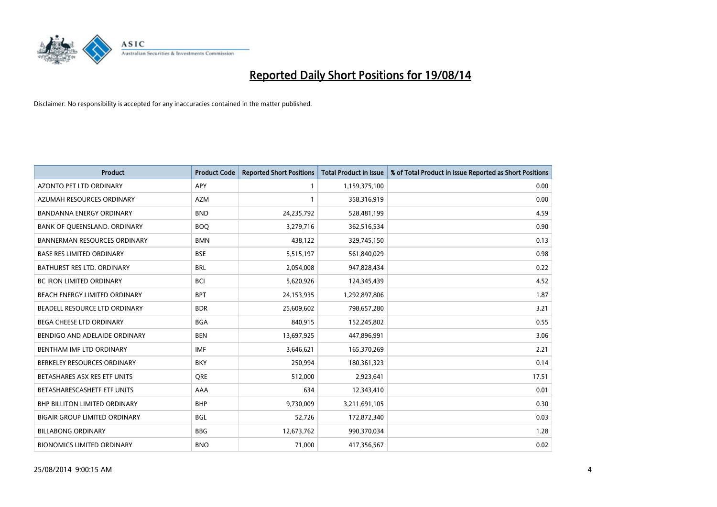

| Product                              | <b>Product Code</b> | <b>Reported Short Positions</b> | <b>Total Product in Issue</b> | % of Total Product in Issue Reported as Short Positions |
|--------------------------------------|---------------------|---------------------------------|-------------------------------|---------------------------------------------------------|
| <b>AZONTO PET LTD ORDINARY</b>       | <b>APY</b>          | $\mathbf{1}$                    | 1,159,375,100                 | 0.00                                                    |
| AZUMAH RESOURCES ORDINARY            | <b>AZM</b>          | 1                               | 358,316,919                   | 0.00                                                    |
| BANDANNA ENERGY ORDINARY             | <b>BND</b>          | 24,235,792                      | 528,481,199                   | 4.59                                                    |
| BANK OF QUEENSLAND. ORDINARY         | <b>BOQ</b>          | 3,279,716                       | 362,516,534                   | 0.90                                                    |
| <b>BANNERMAN RESOURCES ORDINARY</b>  | <b>BMN</b>          | 438,122                         | 329,745,150                   | 0.13                                                    |
| <b>BASE RES LIMITED ORDINARY</b>     | <b>BSE</b>          | 5,515,197                       | 561,840,029                   | 0.98                                                    |
| <b>BATHURST RES LTD. ORDINARY</b>    | <b>BRL</b>          | 2,054,008                       | 947,828,434                   | 0.22                                                    |
| <b>BC IRON LIMITED ORDINARY</b>      | <b>BCI</b>          | 5,620,926                       | 124,345,439                   | 4.52                                                    |
| BEACH ENERGY LIMITED ORDINARY        | <b>BPT</b>          | 24,153,935                      | 1,292,897,806                 | 1.87                                                    |
| BEADELL RESOURCE LTD ORDINARY        | <b>BDR</b>          | 25,609,602                      | 798,657,280                   | 3.21                                                    |
| BEGA CHEESE LTD ORDINARY             | <b>BGA</b>          | 840,915                         | 152,245,802                   | 0.55                                                    |
| BENDIGO AND ADELAIDE ORDINARY        | <b>BEN</b>          | 13,697,925                      | 447,896,991                   | 3.06                                                    |
| BENTHAM IMF LTD ORDINARY             | <b>IMF</b>          | 3,646,621                       | 165,370,269                   | 2.21                                                    |
| BERKELEY RESOURCES ORDINARY          | <b>BKY</b>          | 250,994                         | 180,361,323                   | 0.14                                                    |
| BETASHARES ASX RES ETF UNITS         | <b>ORE</b>          | 512,000                         | 2,923,641                     | 17.51                                                   |
| BETASHARESCASHETF ETF UNITS          | AAA                 | 634                             | 12,343,410                    | 0.01                                                    |
| <b>BHP BILLITON LIMITED ORDINARY</b> | <b>BHP</b>          | 9,730,009                       | 3,211,691,105                 | 0.30                                                    |
| <b>BIGAIR GROUP LIMITED ORDINARY</b> | <b>BGL</b>          | 52,726                          | 172,872,340                   | 0.03                                                    |
| <b>BILLABONG ORDINARY</b>            | <b>BBG</b>          | 12,673,762                      | 990,370,034                   | 1.28                                                    |
| <b>BIONOMICS LIMITED ORDINARY</b>    | <b>BNO</b>          | 71,000                          | 417,356,567                   | 0.02                                                    |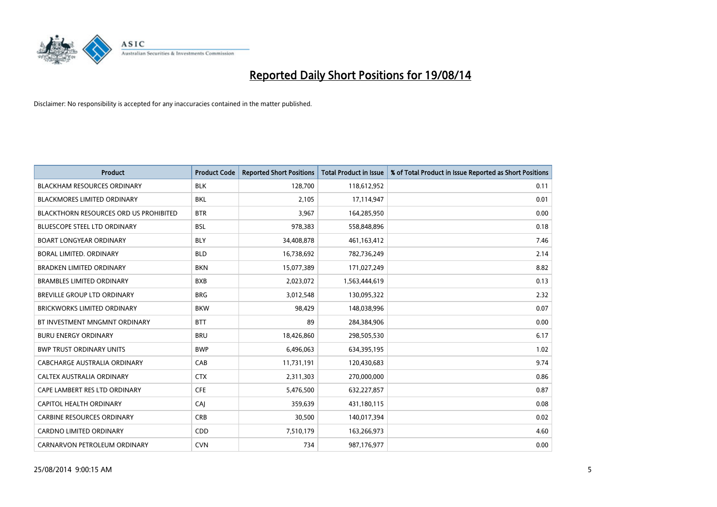

| <b>Product</b>                         | <b>Product Code</b> | <b>Reported Short Positions</b> | <b>Total Product in Issue</b> | % of Total Product in Issue Reported as Short Positions |
|----------------------------------------|---------------------|---------------------------------|-------------------------------|---------------------------------------------------------|
| <b>BLACKHAM RESOURCES ORDINARY</b>     | <b>BLK</b>          | 128,700                         | 118,612,952                   | 0.11                                                    |
| BLACKMORES LIMITED ORDINARY            | <b>BKL</b>          | 2,105                           | 17,114,947                    | 0.01                                                    |
| BLACKTHORN RESOURCES ORD US PROHIBITED | <b>BTR</b>          | 3,967                           | 164,285,950                   | 0.00                                                    |
| <b>BLUESCOPE STEEL LTD ORDINARY</b>    | <b>BSL</b>          | 978,383                         | 558,848,896                   | 0.18                                                    |
| <b>BOART LONGYEAR ORDINARY</b>         | <b>BLY</b>          | 34,408,878                      | 461,163,412                   | 7.46                                                    |
| <b>BORAL LIMITED, ORDINARY</b>         | <b>BLD</b>          | 16,738,692                      | 782,736,249                   | 2.14                                                    |
| <b>BRADKEN LIMITED ORDINARY</b>        | <b>BKN</b>          | 15,077,389                      | 171,027,249                   | 8.82                                                    |
| <b>BRAMBLES LIMITED ORDINARY</b>       | <b>BXB</b>          | 2,023,072                       | 1,563,444,619                 | 0.13                                                    |
| <b>BREVILLE GROUP LTD ORDINARY</b>     | <b>BRG</b>          | 3,012,548                       | 130,095,322                   | 2.32                                                    |
| <b>BRICKWORKS LIMITED ORDINARY</b>     | <b>BKW</b>          | 98,429                          | 148,038,996                   | 0.07                                                    |
| BT INVESTMENT MNGMNT ORDINARY          | <b>BTT</b>          | 89                              | 284,384,906                   | 0.00                                                    |
| <b>BURU ENERGY ORDINARY</b>            | <b>BRU</b>          | 18,426,860                      | 298,505,530                   | 6.17                                                    |
| <b>BWP TRUST ORDINARY UNITS</b>        | <b>BWP</b>          | 6,496,063                       | 634,395,195                   | 1.02                                                    |
| <b>CABCHARGE AUSTRALIA ORDINARY</b>    | CAB                 | 11,731,191                      | 120,430,683                   | 9.74                                                    |
| CALTEX AUSTRALIA ORDINARY              | <b>CTX</b>          | 2,311,303                       | 270,000,000                   | 0.86                                                    |
| CAPE LAMBERT RES LTD ORDINARY          | <b>CFE</b>          | 5,476,500                       | 632,227,857                   | 0.87                                                    |
| CAPITOL HEALTH ORDINARY                | CAJ                 | 359,639                         | 431,180,115                   | 0.08                                                    |
| <b>CARBINE RESOURCES ORDINARY</b>      | <b>CRB</b>          | 30,500                          | 140,017,394                   | 0.02                                                    |
| <b>CARDNO LIMITED ORDINARY</b>         | CDD                 | 7,510,179                       | 163,266,973                   | 4.60                                                    |
| CARNARVON PETROLEUM ORDINARY           | <b>CVN</b>          | 734                             | 987,176,977                   | 0.00                                                    |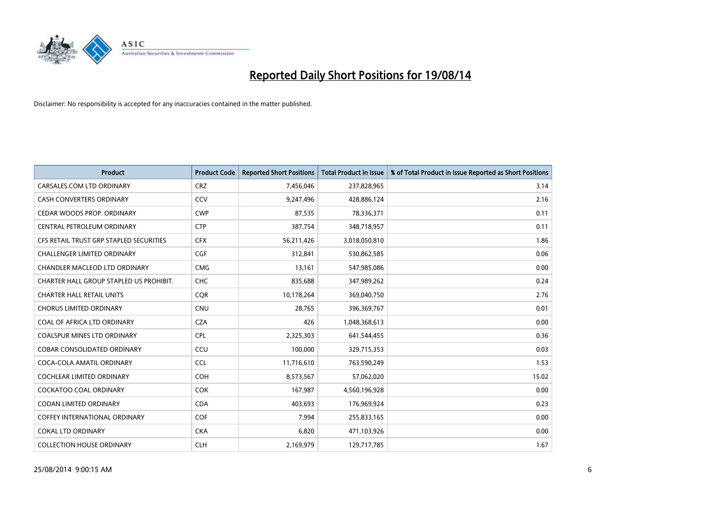

| <b>Product</b>                          | <b>Product Code</b> | <b>Reported Short Positions</b> | <b>Total Product in Issue</b> | % of Total Product in Issue Reported as Short Positions |
|-----------------------------------------|---------------------|---------------------------------|-------------------------------|---------------------------------------------------------|
| CARSALES.COM LTD ORDINARY               | <b>CRZ</b>          | 7,456,046                       | 237,828,965                   | 3.14                                                    |
| CASH CONVERTERS ORDINARY                | CCV                 | 9,247,496                       | 428,886,124                   | 2.16                                                    |
| CEDAR WOODS PROP. ORDINARY              | <b>CWP</b>          | 87,535                          | 78,336,371                    | 0.11                                                    |
| CENTRAL PETROLEUM ORDINARY              | <b>CTP</b>          | 387,754                         | 348,718,957                   | 0.11                                                    |
| CFS RETAIL TRUST GRP STAPLED SECURITIES | <b>CFX</b>          | 56,211,426                      | 3,018,050,810                 | 1.86                                                    |
| <b>CHALLENGER LIMITED ORDINARY</b>      | <b>CGF</b>          | 312,841                         | 530,862,585                   | 0.06                                                    |
| CHANDLER MACLEOD LTD ORDINARY           | <b>CMG</b>          | 13,161                          | 547,985,086                   | 0.00                                                    |
| CHARTER HALL GROUP STAPLED US PROHIBIT. | <b>CHC</b>          | 835,688                         | 347,989,262                   | 0.24                                                    |
| <b>CHARTER HALL RETAIL UNITS</b>        | <b>CQR</b>          | 10,178,264                      | 369,040,750                   | 2.76                                                    |
| <b>CHORUS LIMITED ORDINARY</b>          | <b>CNU</b>          | 28,765                          | 396,369,767                   | 0.01                                                    |
| COAL OF AFRICA LTD ORDINARY             | <b>CZA</b>          | 426                             | 1,048,368,613                 | 0.00                                                    |
| <b>COALSPUR MINES LTD ORDINARY</b>      | <b>CPL</b>          | 2,325,303                       | 641,544,455                   | 0.36                                                    |
| <b>COBAR CONSOLIDATED ORDINARY</b>      | CCU                 | 100,000                         | 329,715,353                   | 0.03                                                    |
| COCA-COLA AMATIL ORDINARY               | <b>CCL</b>          | 11,716,610                      | 763,590,249                   | 1.53                                                    |
| <b>COCHLEAR LIMITED ORDINARY</b>        | COH                 | 8,573,567                       | 57,062,020                    | 15.02                                                   |
| <b>COCKATOO COAL ORDINARY</b>           | COK                 | 167,987                         | 4,560,196,928                 | 0.00                                                    |
| CODAN LIMITED ORDINARY                  | <b>CDA</b>          | 403,693                         | 176,969,924                   | 0.23                                                    |
| <b>COFFEY INTERNATIONAL ORDINARY</b>    | <b>COF</b>          | 7,994                           | 255,833,165                   | 0.00                                                    |
| <b>COKAL LTD ORDINARY</b>               | <b>CKA</b>          | 6,820                           | 471,103,926                   | 0.00                                                    |
| <b>COLLECTION HOUSE ORDINARY</b>        | <b>CLH</b>          | 2,169,979                       | 129,717,785                   | 1.67                                                    |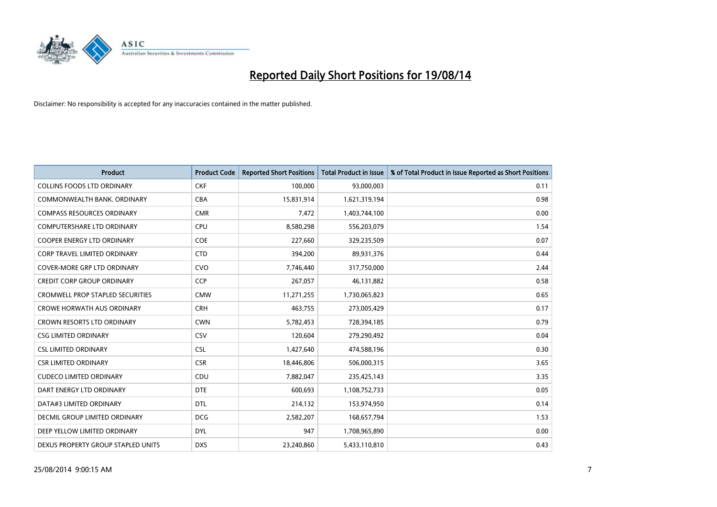

| <b>Product</b>                          | <b>Product Code</b> | <b>Reported Short Positions</b> | <b>Total Product in Issue</b> | % of Total Product in Issue Reported as Short Positions |
|-----------------------------------------|---------------------|---------------------------------|-------------------------------|---------------------------------------------------------|
| <b>COLLINS FOODS LTD ORDINARY</b>       | <b>CKF</b>          | 100,000                         | 93,000,003                    | 0.11                                                    |
| COMMONWEALTH BANK, ORDINARY             | <b>CBA</b>          | 15,831,914                      | 1,621,319,194                 | 0.98                                                    |
| <b>COMPASS RESOURCES ORDINARY</b>       | <b>CMR</b>          | 7,472                           | 1,403,744,100                 | 0.00                                                    |
| <b>COMPUTERSHARE LTD ORDINARY</b>       | <b>CPU</b>          | 8,580,298                       | 556,203,079                   | 1.54                                                    |
| <b>COOPER ENERGY LTD ORDINARY</b>       | <b>COE</b>          | 227,660                         | 329,235,509                   | 0.07                                                    |
| <b>CORP TRAVEL LIMITED ORDINARY</b>     | <b>CTD</b>          | 394,200                         | 89,931,376                    | 0.44                                                    |
| COVER-MORE GRP LTD ORDINARY             | <b>CVO</b>          | 7,746,440                       | 317,750,000                   | 2.44                                                    |
| <b>CREDIT CORP GROUP ORDINARY</b>       | <b>CCP</b>          | 267,057                         | 46,131,882                    | 0.58                                                    |
| <b>CROMWELL PROP STAPLED SECURITIES</b> | <b>CMW</b>          | 11,271,255                      | 1,730,065,823                 | 0.65                                                    |
| <b>CROWE HORWATH AUS ORDINARY</b>       | <b>CRH</b>          | 463,755                         | 273,005,429                   | 0.17                                                    |
| CROWN RESORTS LTD ORDINARY              | <b>CWN</b>          | 5,782,453                       | 728,394,185                   | 0.79                                                    |
| <b>CSG LIMITED ORDINARY</b>             | CSV                 | 120,604                         | 279,290,492                   | 0.04                                                    |
| <b>CSL LIMITED ORDINARY</b>             | <b>CSL</b>          | 1,427,640                       | 474,588,196                   | 0.30                                                    |
| <b>CSR LIMITED ORDINARY</b>             | <b>CSR</b>          | 18,446,806                      | 506,000,315                   | 3.65                                                    |
| <b>CUDECO LIMITED ORDINARY</b>          | CDU                 | 7,882,047                       | 235,425,143                   | 3.35                                                    |
| DART ENERGY LTD ORDINARY                | <b>DTE</b>          | 600,693                         | 1,108,752,733                 | 0.05                                                    |
| DATA#3 LIMITED ORDINARY                 | DTL                 | 214,132                         | 153,974,950                   | 0.14                                                    |
| DECMIL GROUP LIMITED ORDINARY           | <b>DCG</b>          | 2,582,207                       | 168,657,794                   | 1.53                                                    |
| DEEP YELLOW LIMITED ORDINARY            | <b>DYL</b>          | 947                             | 1,708,965,890                 | 0.00                                                    |
| DEXUS PROPERTY GROUP STAPLED UNITS      | <b>DXS</b>          | 23,240,860                      | 5,433,110,810                 | 0.43                                                    |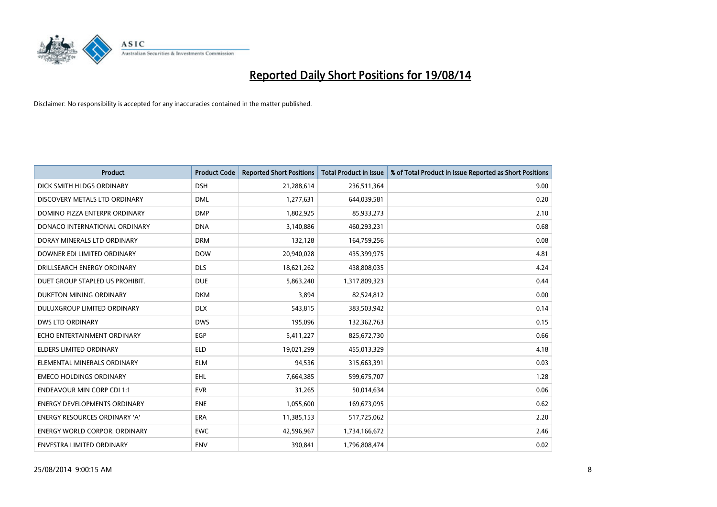

| <b>Product</b>                       | <b>Product Code</b> | <b>Reported Short Positions</b> | <b>Total Product in Issue</b> | % of Total Product in Issue Reported as Short Positions |
|--------------------------------------|---------------------|---------------------------------|-------------------------------|---------------------------------------------------------|
| DICK SMITH HLDGS ORDINARY            | <b>DSH</b>          | 21,288,614                      | 236,511,364                   | 9.00                                                    |
| DISCOVERY METALS LTD ORDINARY        | <b>DML</b>          | 1,277,631                       | 644,039,581                   | 0.20                                                    |
| DOMINO PIZZA ENTERPR ORDINARY        | <b>DMP</b>          | 1,802,925                       | 85,933,273                    | 2.10                                                    |
| DONACO INTERNATIONAL ORDINARY        | <b>DNA</b>          | 3,140,886                       | 460,293,231                   | 0.68                                                    |
| DORAY MINERALS LTD ORDINARY          | <b>DRM</b>          | 132,128                         | 164,759,256                   | 0.08                                                    |
| DOWNER EDI LIMITED ORDINARY          | <b>DOW</b>          | 20,940,028                      | 435,399,975                   | 4.81                                                    |
| DRILLSEARCH ENERGY ORDINARY          | <b>DLS</b>          | 18,621,262                      | 438,808,035                   | 4.24                                                    |
| DUET GROUP STAPLED US PROHIBIT.      | <b>DUE</b>          | 5,863,240                       | 1,317,809,323                 | 0.44                                                    |
| DUKETON MINING ORDINARY              | <b>DKM</b>          | 3,894                           | 82,524,812                    | 0.00                                                    |
| DULUXGROUP LIMITED ORDINARY          | <b>DLX</b>          | 543,815                         | 383,503,942                   | 0.14                                                    |
| <b>DWS LTD ORDINARY</b>              | <b>DWS</b>          | 195,096                         | 132,362,763                   | 0.15                                                    |
| ECHO ENTERTAINMENT ORDINARY          | <b>EGP</b>          | 5,411,227                       | 825,672,730                   | 0.66                                                    |
| <b>ELDERS LIMITED ORDINARY</b>       | <b>ELD</b>          | 19,021,299                      | 455,013,329                   | 4.18                                                    |
| ELEMENTAL MINERALS ORDINARY          | <b>ELM</b>          | 94,536                          | 315,663,391                   | 0.03                                                    |
| <b>EMECO HOLDINGS ORDINARY</b>       | <b>EHL</b>          | 7,664,385                       | 599,675,707                   | 1.28                                                    |
| <b>ENDEAVOUR MIN CORP CDI 1:1</b>    | <b>EVR</b>          | 31,265                          | 50,014,634                    | 0.06                                                    |
| ENERGY DEVELOPMENTS ORDINARY         | <b>ENE</b>          | 1,055,600                       | 169,673,095                   | 0.62                                                    |
| <b>ENERGY RESOURCES ORDINARY 'A'</b> | <b>ERA</b>          | 11,385,153                      | 517,725,062                   | 2.20                                                    |
| <b>ENERGY WORLD CORPOR, ORDINARY</b> | <b>EWC</b>          | 42,596,967                      | 1,734,166,672                 | 2.46                                                    |
| ENVESTRA LIMITED ORDINARY            | ENV                 | 390,841                         | 1,796,808,474                 | 0.02                                                    |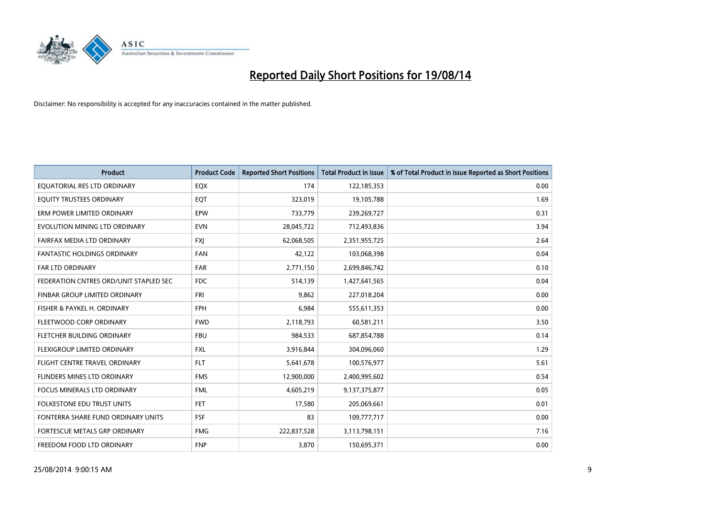

| <b>Product</b>                         | <b>Product Code</b> | <b>Reported Short Positions</b> | <b>Total Product in Issue</b> | % of Total Product in Issue Reported as Short Positions |
|----------------------------------------|---------------------|---------------------------------|-------------------------------|---------------------------------------------------------|
| EQUATORIAL RES LTD ORDINARY            | EQX                 | 174                             | 122,185,353                   | 0.00                                                    |
| EQUITY TRUSTEES ORDINARY               | EQT                 | 323,019                         | 19,105,788                    | 1.69                                                    |
| ERM POWER LIMITED ORDINARY             | <b>EPW</b>          | 733,779                         | 239,269,727                   | 0.31                                                    |
| EVOLUTION MINING LTD ORDINARY          | <b>EVN</b>          | 28,045,722                      | 712,493,836                   | 3.94                                                    |
| FAIRFAX MEDIA LTD ORDINARY             | <b>FXI</b>          | 62,068,505                      | 2,351,955,725                 | 2.64                                                    |
| <b>FANTASTIC HOLDINGS ORDINARY</b>     | <b>FAN</b>          | 42,122                          | 103,068,398                   | 0.04                                                    |
| <b>FAR LTD ORDINARY</b>                | <b>FAR</b>          | 2,771,150                       | 2,699,846,742                 | 0.10                                                    |
| FEDERATION CNTRES ORD/UNIT STAPLED SEC | FDC                 | 514,139                         | 1,427,641,565                 | 0.04                                                    |
| FINBAR GROUP LIMITED ORDINARY          | <b>FRI</b>          | 9,862                           | 227,018,204                   | 0.00                                                    |
| FISHER & PAYKEL H. ORDINARY            | <b>FPH</b>          | 6,984                           | 555,611,353                   | 0.00                                                    |
| FLEETWOOD CORP ORDINARY                | <b>FWD</b>          | 2,118,793                       | 60,581,211                    | 3.50                                                    |
| FLETCHER BUILDING ORDINARY             | <b>FBU</b>          | 984,533                         | 687,854,788                   | 0.14                                                    |
| FLEXIGROUP LIMITED ORDINARY            | FXL                 | 3,916,844                       | 304,096,060                   | 1.29                                                    |
| FLIGHT CENTRE TRAVEL ORDINARY          | <b>FLT</b>          | 5,641,678                       | 100,576,977                   | 5.61                                                    |
| FLINDERS MINES LTD ORDINARY            | <b>FMS</b>          | 12,900,000                      | 2,400,995,602                 | 0.54                                                    |
| <b>FOCUS MINERALS LTD ORDINARY</b>     | <b>FML</b>          | 4,605,219                       | 9,137,375,877                 | 0.05                                                    |
| <b>FOLKESTONE EDU TRUST UNITS</b>      | FET                 | 17,580                          | 205,069,661                   | 0.01                                                    |
| FONTERRA SHARE FUND ORDINARY UNITS     | <b>FSF</b>          | 83                              | 109,777,717                   | 0.00                                                    |
| FORTESCUE METALS GRP ORDINARY          | <b>FMG</b>          | 222,837,528                     | 3,113,798,151                 | 7.16                                                    |
| FREEDOM FOOD LTD ORDINARY              | <b>FNP</b>          | 3,870                           | 150,695,371                   | 0.00                                                    |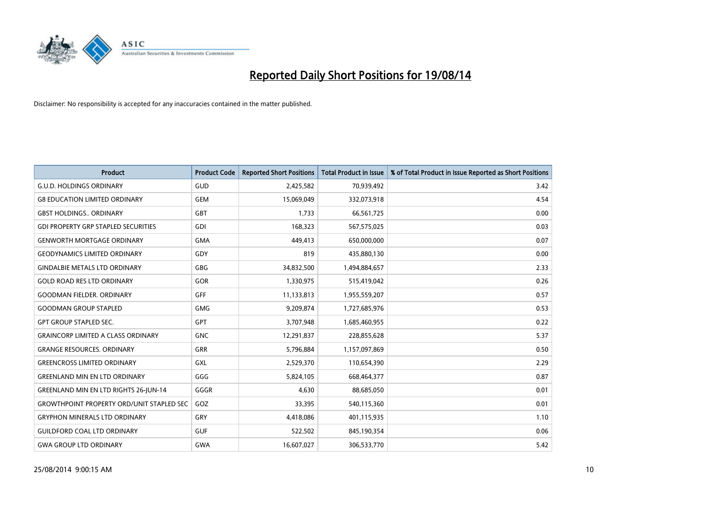

| <b>Product</b>                                   | <b>Product Code</b> | <b>Reported Short Positions</b> | <b>Total Product in Issue</b> | % of Total Product in Issue Reported as Short Positions |
|--------------------------------------------------|---------------------|---------------------------------|-------------------------------|---------------------------------------------------------|
| <b>G.U.D. HOLDINGS ORDINARY</b>                  | GUD                 | 2,425,582                       | 70,939,492                    | 3.42                                                    |
| <b>G8 EDUCATION LIMITED ORDINARY</b>             | <b>GEM</b>          | 15,069,049                      | 332,073,918                   | 4.54                                                    |
| <b>GBST HOLDINGS ORDINARY</b>                    | GBT                 | 1,733                           | 66,561,725                    | 0.00                                                    |
| <b>GDI PROPERTY GRP STAPLED SECURITIES</b>       | GDI                 | 168,323                         | 567,575,025                   | 0.03                                                    |
| <b>GENWORTH MORTGAGE ORDINARY</b>                | <b>GMA</b>          | 449,413                         | 650,000,000                   | 0.07                                                    |
| <b>GEODYNAMICS LIMITED ORDINARY</b>              | GDY                 | 819                             | 435,880,130                   | 0.00                                                    |
| <b>GINDALBIE METALS LTD ORDINARY</b>             | <b>GBG</b>          | 34,832,500                      | 1,494,884,657                 | 2.33                                                    |
| <b>GOLD ROAD RES LTD ORDINARY</b>                | GOR                 | 1,330,975                       | 515,419,042                   | 0.26                                                    |
| <b>GOODMAN FIELDER, ORDINARY</b>                 | GFF                 | 11,133,813                      | 1,955,559,207                 | 0.57                                                    |
| <b>GOODMAN GROUP STAPLED</b>                     | <b>GMG</b>          | 9,209,874                       | 1,727,685,976                 | 0.53                                                    |
| <b>GPT GROUP STAPLED SEC.</b>                    | GPT                 | 3,707,948                       | 1,685,460,955                 | 0.22                                                    |
| <b>GRAINCORP LIMITED A CLASS ORDINARY</b>        | <b>GNC</b>          | 12,291,837                      | 228,855,628                   | 5.37                                                    |
| <b>GRANGE RESOURCES. ORDINARY</b>                | GRR                 | 5,796,884                       | 1,157,097,869                 | 0.50                                                    |
| <b>GREENCROSS LIMITED ORDINARY</b>               | GXL                 | 2,529,370                       | 110,654,390                   | 2.29                                                    |
| <b>GREENLAND MIN EN LTD ORDINARY</b>             | GGG                 | 5,824,105                       | 668,464,377                   | 0.87                                                    |
| GREENLAND MIN EN LTD RIGHTS 26-JUN-14            | GGGR                | 4,630                           | 88,685,050                    | 0.01                                                    |
| <b>GROWTHPOINT PROPERTY ORD/UNIT STAPLED SEC</b> | GOZ                 | 33,395                          | 540,115,360                   | 0.01                                                    |
| <b>GRYPHON MINERALS LTD ORDINARY</b>             | GRY                 | 4,418,086                       | 401,115,935                   | 1.10                                                    |
| <b>GUILDFORD COAL LTD ORDINARY</b>               | <b>GUF</b>          | 522,502                         | 845,190,354                   | 0.06                                                    |
| <b>GWA GROUP LTD ORDINARY</b>                    | <b>GWA</b>          | 16,607,027                      | 306,533,770                   | 5.42                                                    |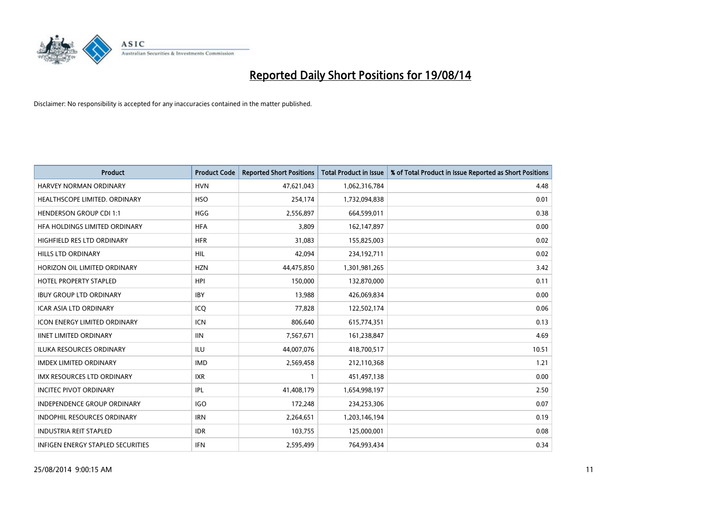

| Product                             | <b>Product Code</b> | <b>Reported Short Positions</b> | <b>Total Product in Issue</b> | % of Total Product in Issue Reported as Short Positions |
|-------------------------------------|---------------------|---------------------------------|-------------------------------|---------------------------------------------------------|
| <b>HARVEY NORMAN ORDINARY</b>       | <b>HVN</b>          | 47,621,043                      | 1,062,316,784                 | 4.48                                                    |
| HEALTHSCOPE LIMITED. ORDINARY       | <b>HSO</b>          | 254,174                         | 1,732,094,838                 | 0.01                                                    |
| <b>HENDERSON GROUP CDI 1:1</b>      | <b>HGG</b>          | 2,556,897                       | 664,599,011                   | 0.38                                                    |
| HFA HOLDINGS LIMITED ORDINARY       | <b>HFA</b>          | 3,809                           | 162,147,897                   | 0.00                                                    |
| HIGHFIELD RES LTD ORDINARY          | <b>HFR</b>          | 31,083                          | 155,825,003                   | 0.02                                                    |
| <b>HILLS LTD ORDINARY</b>           | <b>HIL</b>          | 42,094                          | 234,192,711                   | 0.02                                                    |
| HORIZON OIL LIMITED ORDINARY        | <b>HZN</b>          | 44,475,850                      | 1,301,981,265                 | 3.42                                                    |
| <b>HOTEL PROPERTY STAPLED</b>       | <b>HPI</b>          | 150,000                         | 132,870,000                   | 0.11                                                    |
| <b>IBUY GROUP LTD ORDINARY</b>      | <b>IBY</b>          | 13,988                          | 426,069,834                   | 0.00                                                    |
| <b>ICAR ASIA LTD ORDINARY</b>       | ICQ                 | 77,828                          | 122,502,174                   | 0.06                                                    |
| <b>ICON ENERGY LIMITED ORDINARY</b> | <b>ICN</b>          | 806,640                         | 615,774,351                   | 0.13                                                    |
| <b>IINET LIMITED ORDINARY</b>       | <b>IIN</b>          | 7,567,671                       | 161,238,847                   | 4.69                                                    |
| <b>ILUKA RESOURCES ORDINARY</b>     | <b>ILU</b>          | 44,007,076                      | 418,700,517                   | 10.51                                                   |
| <b>IMDEX LIMITED ORDINARY</b>       | <b>IMD</b>          | 2,569,458                       | 212,110,368                   | 1.21                                                    |
| <b>IMX RESOURCES LTD ORDINARY</b>   | <b>IXR</b>          | 1                               | 451,497,138                   | 0.00                                                    |
| <b>INCITEC PIVOT ORDINARY</b>       | IPL                 | 41,408,179                      | 1,654,998,197                 | 2.50                                                    |
| <b>INDEPENDENCE GROUP ORDINARY</b>  | <b>IGO</b>          | 172,248                         | 234,253,306                   | 0.07                                                    |
| INDOPHIL RESOURCES ORDINARY         | <b>IRN</b>          | 2,264,651                       | 1,203,146,194                 | 0.19                                                    |
| <b>INDUSTRIA REIT STAPLED</b>       | <b>IDR</b>          | 103,755                         | 125,000,001                   | 0.08                                                    |
| INFIGEN ENERGY STAPLED SECURITIES   | <b>IFN</b>          | 2,595,499                       | 764,993,434                   | 0.34                                                    |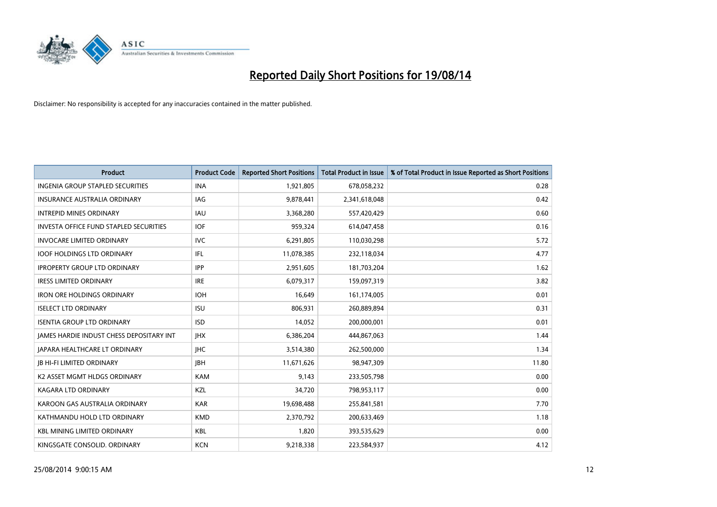

| <b>Product</b>                                  | <b>Product Code</b> | <b>Reported Short Positions</b> | <b>Total Product in Issue</b> | % of Total Product in Issue Reported as Short Positions |
|-------------------------------------------------|---------------------|---------------------------------|-------------------------------|---------------------------------------------------------|
| <b>INGENIA GROUP STAPLED SECURITIES</b>         | <b>INA</b>          | 1,921,805                       | 678,058,232                   | 0.28                                                    |
| <b>INSURANCE AUSTRALIA ORDINARY</b>             | IAG                 | 9,878,441                       | 2,341,618,048                 | 0.42                                                    |
| <b>INTREPID MINES ORDINARY</b>                  | IAU                 | 3,368,280                       | 557,420,429                   | 0.60                                                    |
| <b>INVESTA OFFICE FUND STAPLED SECURITIES</b>   | <b>IOF</b>          | 959,324                         | 614,047,458                   | 0.16                                                    |
| <b>INVOCARE LIMITED ORDINARY</b>                | <b>IVC</b>          | 6,291,805                       | 110,030,298                   | 5.72                                                    |
| <b>IOOF HOLDINGS LTD ORDINARY</b>               | IFL                 | 11,078,385                      | 232,118,034                   | 4.77                                                    |
| <b>IPROPERTY GROUP LTD ORDINARY</b>             | <b>IPP</b>          | 2,951,605                       | 181,703,204                   | 1.62                                                    |
| <b>IRESS LIMITED ORDINARY</b>                   | <b>IRE</b>          | 6,079,317                       | 159,097,319                   | 3.82                                                    |
| <b>IRON ORE HOLDINGS ORDINARY</b>               | <b>IOH</b>          | 16,649                          | 161,174,005                   | 0.01                                                    |
| <b>ISELECT LTD ORDINARY</b>                     | <b>ISU</b>          | 806,931                         | 260,889,894                   | 0.31                                                    |
| <b>ISENTIA GROUP LTD ORDINARY</b>               | <b>ISD</b>          | 14,052                          | 200,000,001                   | 0.01                                                    |
| <b>JAMES HARDIE INDUST CHESS DEPOSITARY INT</b> | <b>IHX</b>          | 6,386,204                       | 444,867,063                   | 1.44                                                    |
| JAPARA HEALTHCARE LT ORDINARY                   | <b>IHC</b>          | 3,514,380                       | 262,500,000                   | 1.34                                                    |
| <b>IB HI-FI LIMITED ORDINARY</b>                | <b>IBH</b>          | 11,671,626                      | 98,947,309                    | 11.80                                                   |
| K2 ASSET MGMT HLDGS ORDINARY                    | <b>KAM</b>          | 9,143                           | 233,505,798                   | 0.00                                                    |
| KAGARA LTD ORDINARY                             | KZL                 | 34,720                          | 798,953,117                   | 0.00                                                    |
| KAROON GAS AUSTRALIA ORDINARY                   | <b>KAR</b>          | 19,698,488                      | 255,841,581                   | 7.70                                                    |
| KATHMANDU HOLD LTD ORDINARY                     | <b>KMD</b>          | 2,370,792                       | 200,633,469                   | 1.18                                                    |
| <b>KBL MINING LIMITED ORDINARY</b>              | <b>KBL</b>          | 1,820                           | 393,535,629                   | 0.00                                                    |
| KINGSGATE CONSOLID. ORDINARY                    | <b>KCN</b>          | 9,218,338                       | 223,584,937                   | 4.12                                                    |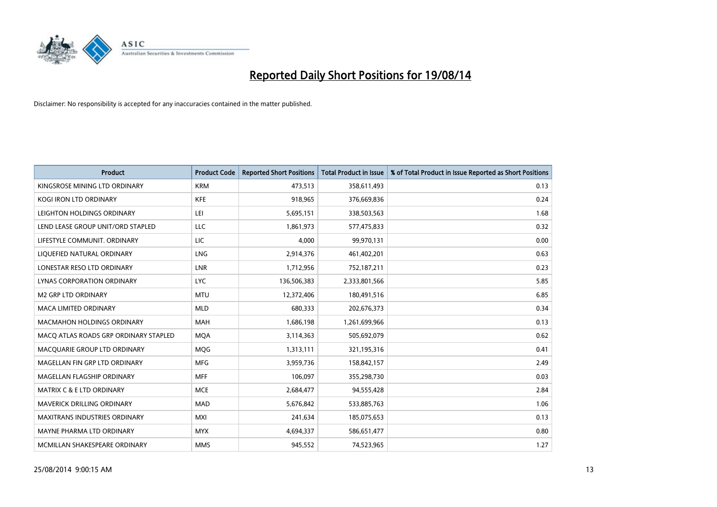

| <b>Product</b>                        | <b>Product Code</b> | <b>Reported Short Positions</b> | <b>Total Product in Issue</b> | % of Total Product in Issue Reported as Short Positions |
|---------------------------------------|---------------------|---------------------------------|-------------------------------|---------------------------------------------------------|
| KINGSROSE MINING LTD ORDINARY         | <b>KRM</b>          | 473,513                         | 358,611,493                   | 0.13                                                    |
| KOGI IRON LTD ORDINARY                | KFE                 | 918,965                         | 376,669,836                   | 0.24                                                    |
| LEIGHTON HOLDINGS ORDINARY            | LEI                 | 5,695,151                       | 338,503,563                   | 1.68                                                    |
| LEND LEASE GROUP UNIT/ORD STAPLED     | LLC                 | 1,861,973                       | 577,475,833                   | 0.32                                                    |
| LIFESTYLE COMMUNIT, ORDINARY          | LIC                 | 4,000                           | 99,970,131                    | 0.00                                                    |
| LIQUEFIED NATURAL ORDINARY            | LNG                 | 2,914,376                       | 461,402,201                   | 0.63                                                    |
| LONESTAR RESO LTD ORDINARY            | <b>LNR</b>          | 1,712,956                       | 752,187,211                   | 0.23                                                    |
| LYNAS CORPORATION ORDINARY            | <b>LYC</b>          | 136,506,383                     | 2,333,801,566                 | 5.85                                                    |
| <b>M2 GRP LTD ORDINARY</b>            | <b>MTU</b>          | 12,372,406                      | 180,491,516                   | 6.85                                                    |
| <b>MACA LIMITED ORDINARY</b>          | <b>MLD</b>          | 680,333                         | 202,676,373                   | 0.34                                                    |
| MACMAHON HOLDINGS ORDINARY            | MAH                 | 1,686,198                       | 1,261,699,966                 | 0.13                                                    |
| MACO ATLAS ROADS GRP ORDINARY STAPLED | <b>MQA</b>          | 3,114,363                       | 505,692,079                   | 0.62                                                    |
| MACQUARIE GROUP LTD ORDINARY          | MQG                 | 1,313,111                       | 321,195,316                   | 0.41                                                    |
| MAGELLAN FIN GRP LTD ORDINARY         | <b>MFG</b>          | 3,959,736                       | 158,842,157                   | 2.49                                                    |
| MAGELLAN FLAGSHIP ORDINARY            | <b>MFF</b>          | 106,097                         | 355,298,730                   | 0.03                                                    |
| <b>MATRIX C &amp; E LTD ORDINARY</b>  | <b>MCE</b>          | 2,684,477                       | 94,555,428                    | 2.84                                                    |
| MAVERICK DRILLING ORDINARY            | <b>MAD</b>          | 5,676,842                       | 533,885,763                   | 1.06                                                    |
| <b>MAXITRANS INDUSTRIES ORDINARY</b>  | <b>MXI</b>          | 241,634                         | 185,075,653                   | 0.13                                                    |
| MAYNE PHARMA LTD ORDINARY             | <b>MYX</b>          | 4,694,337                       | 586,651,477                   | 0.80                                                    |
| MCMILLAN SHAKESPEARE ORDINARY         | <b>MMS</b>          | 945,552                         | 74,523,965                    | 1.27                                                    |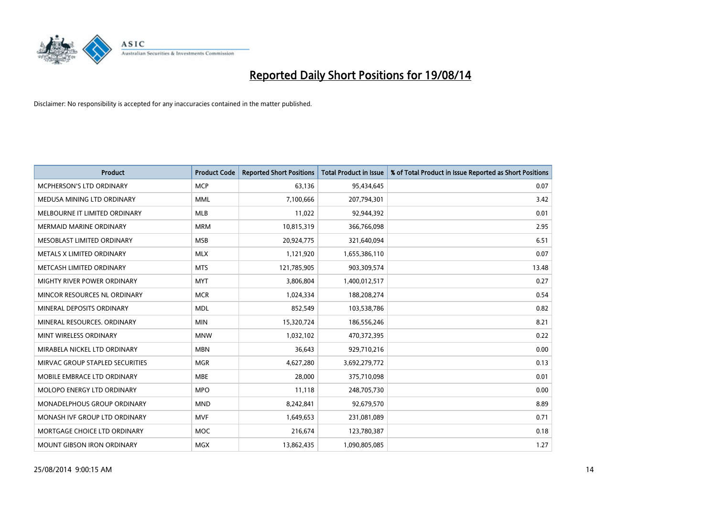

| <b>Product</b>                  | <b>Product Code</b> | <b>Reported Short Positions</b> | <b>Total Product in Issue</b> | % of Total Product in Issue Reported as Short Positions |
|---------------------------------|---------------------|---------------------------------|-------------------------------|---------------------------------------------------------|
| <b>MCPHERSON'S LTD ORDINARY</b> | <b>MCP</b>          | 63,136                          | 95,434,645                    | 0.07                                                    |
| MEDUSA MINING LTD ORDINARY      | <b>MML</b>          | 7,100,666                       | 207,794,301                   | 3.42                                                    |
| MELBOURNE IT LIMITED ORDINARY   | <b>MLB</b>          | 11,022                          | 92,944,392                    | 0.01                                                    |
| <b>MERMAID MARINE ORDINARY</b>  | <b>MRM</b>          | 10,815,319                      | 366,766,098                   | 2.95                                                    |
| MESOBLAST LIMITED ORDINARY      | <b>MSB</b>          | 20,924,775                      | 321,640,094                   | 6.51                                                    |
| METALS X LIMITED ORDINARY       | <b>MLX</b>          | 1,121,920                       | 1,655,386,110                 | 0.07                                                    |
| METCASH LIMITED ORDINARY        | <b>MTS</b>          | 121,785,905                     | 903,309,574                   | 13.48                                                   |
| MIGHTY RIVER POWER ORDINARY     | <b>MYT</b>          | 3,806,804                       | 1,400,012,517                 | 0.27                                                    |
| MINCOR RESOURCES NL ORDINARY    | <b>MCR</b>          | 1,024,334                       | 188,208,274                   | 0.54                                                    |
| MINERAL DEPOSITS ORDINARY       | <b>MDL</b>          | 852,549                         | 103,538,786                   | 0.82                                                    |
| MINERAL RESOURCES. ORDINARY     | <b>MIN</b>          | 15,320,724                      | 186,556,246                   | 8.21                                                    |
| MINT WIRELESS ORDINARY          | <b>MNW</b>          | 1,032,102                       | 470,372,395                   | 0.22                                                    |
| MIRABELA NICKEL LTD ORDINARY    | <b>MBN</b>          | 36,643                          | 929,710,216                   | 0.00                                                    |
| MIRVAC GROUP STAPLED SECURITIES | <b>MGR</b>          | 4,627,280                       | 3,692,279,772                 | 0.13                                                    |
| MOBILE EMBRACE LTD ORDINARY     | <b>MBE</b>          | 28,000                          | 375,710,098                   | 0.01                                                    |
| MOLOPO ENERGY LTD ORDINARY      | <b>MPO</b>          | 11,118                          | 248,705,730                   | 0.00                                                    |
| MONADELPHOUS GROUP ORDINARY     | <b>MND</b>          | 8,242,841                       | 92,679,570                    | 8.89                                                    |
| MONASH IVF GROUP LTD ORDINARY   | <b>MVF</b>          | 1,649,653                       | 231,081,089                   | 0.71                                                    |
| MORTGAGE CHOICE LTD ORDINARY    | <b>MOC</b>          | 216,674                         | 123,780,387                   | 0.18                                                    |
| MOUNT GIBSON IRON ORDINARY      | <b>MGX</b>          | 13,862,435                      | 1,090,805,085                 | 1.27                                                    |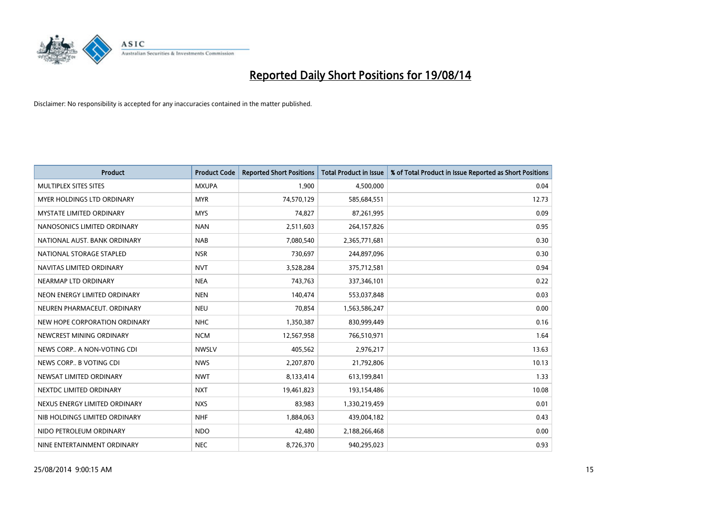

| <b>Product</b>                  | <b>Product Code</b> | <b>Reported Short Positions</b> | <b>Total Product in Issue</b> | % of Total Product in Issue Reported as Short Positions |
|---------------------------------|---------------------|---------------------------------|-------------------------------|---------------------------------------------------------|
| MULTIPLEX SITES SITES           | <b>MXUPA</b>        | 1,900                           | 4,500,000                     | 0.04                                                    |
| MYER HOLDINGS LTD ORDINARY      | <b>MYR</b>          | 74,570,129                      | 585,684,551                   | 12.73                                                   |
| <b>MYSTATE LIMITED ORDINARY</b> | <b>MYS</b>          | 74,827                          | 87,261,995                    | 0.09                                                    |
| NANOSONICS LIMITED ORDINARY     | <b>NAN</b>          | 2,511,603                       | 264,157,826                   | 0.95                                                    |
| NATIONAL AUST. BANK ORDINARY    | <b>NAB</b>          | 7,080,540                       | 2,365,771,681                 | 0.30                                                    |
| NATIONAL STORAGE STAPLED        | <b>NSR</b>          | 730,697                         | 244,897,096                   | 0.30                                                    |
| NAVITAS LIMITED ORDINARY        | <b>NVT</b>          | 3,528,284                       | 375,712,581                   | 0.94                                                    |
| NEARMAP LTD ORDINARY            | <b>NEA</b>          | 743,763                         | 337,346,101                   | 0.22                                                    |
| NEON ENERGY LIMITED ORDINARY    | <b>NEN</b>          | 140,474                         | 553,037,848                   | 0.03                                                    |
| NEUREN PHARMACEUT, ORDINARY     | <b>NEU</b>          | 70,854                          | 1,563,586,247                 | 0.00                                                    |
| NEW HOPE CORPORATION ORDINARY   | <b>NHC</b>          | 1,350,387                       | 830,999,449                   | 0.16                                                    |
| NEWCREST MINING ORDINARY        | <b>NCM</b>          | 12,567,958                      | 766,510,971                   | 1.64                                                    |
| NEWS CORP A NON-VOTING CDI      | <b>NWSLV</b>        | 405,562                         | 2,976,217                     | 13.63                                                   |
| NEWS CORP B VOTING CDI          | <b>NWS</b>          | 2,207,870                       | 21,792,806                    | 10.13                                                   |
| NEWSAT LIMITED ORDINARY         | <b>NWT</b>          | 8,133,414                       | 613,199,841                   | 1.33                                                    |
| NEXTDC LIMITED ORDINARY         | <b>NXT</b>          | 19,461,823                      | 193,154,486                   | 10.08                                                   |
| NEXUS ENERGY LIMITED ORDINARY   | <b>NXS</b>          | 83,983                          | 1,330,219,459                 | 0.01                                                    |
| NIB HOLDINGS LIMITED ORDINARY   | <b>NHF</b>          | 1,884,063                       | 439,004,182                   | 0.43                                                    |
| NIDO PETROLEUM ORDINARY         | <b>NDO</b>          | 42,480                          | 2,188,266,468                 | 0.00                                                    |
| NINE ENTERTAINMENT ORDINARY     | <b>NEC</b>          | 8,726,370                       | 940,295,023                   | 0.93                                                    |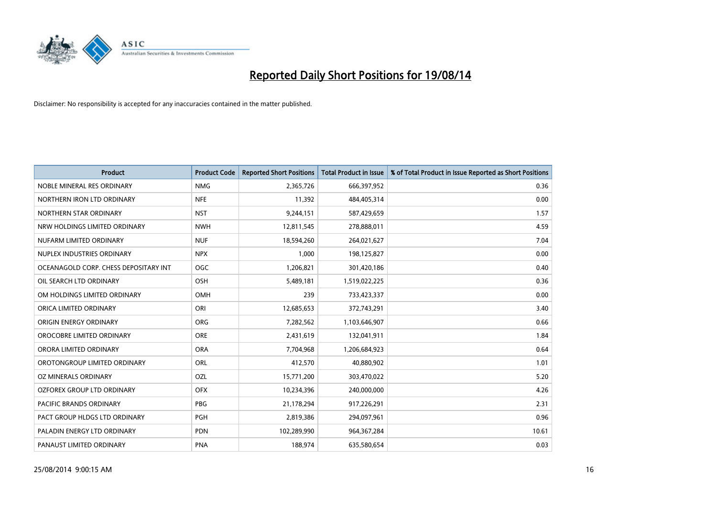

| <b>Product</b>                        | <b>Product Code</b> | <b>Reported Short Positions</b> | <b>Total Product in Issue</b> | % of Total Product in Issue Reported as Short Positions |
|---------------------------------------|---------------------|---------------------------------|-------------------------------|---------------------------------------------------------|
| NOBLE MINERAL RES ORDINARY            | <b>NMG</b>          | 2,365,726                       | 666,397,952                   | 0.36                                                    |
| NORTHERN IRON LTD ORDINARY            | <b>NFE</b>          | 11,392                          | 484,405,314                   | 0.00                                                    |
| NORTHERN STAR ORDINARY                | <b>NST</b>          | 9,244,151                       | 587,429,659                   | 1.57                                                    |
| NRW HOLDINGS LIMITED ORDINARY         | <b>NWH</b>          | 12,811,545                      | 278,888,011                   | 4.59                                                    |
| NUFARM LIMITED ORDINARY               | <b>NUF</b>          | 18,594,260                      | 264,021,627                   | 7.04                                                    |
| NUPLEX INDUSTRIES ORDINARY            | <b>NPX</b>          | 1,000                           | 198,125,827                   | 0.00                                                    |
| OCEANAGOLD CORP. CHESS DEPOSITARY INT | <b>OGC</b>          | 1,206,821                       | 301,420,186                   | 0.40                                                    |
| OIL SEARCH LTD ORDINARY               | OSH                 | 5,489,181                       | 1,519,022,225                 | 0.36                                                    |
| OM HOLDINGS LIMITED ORDINARY          | OMH                 | 239                             | 733,423,337                   | 0.00                                                    |
| ORICA LIMITED ORDINARY                | ORI                 | 12,685,653                      | 372,743,291                   | 3.40                                                    |
| ORIGIN ENERGY ORDINARY                | <b>ORG</b>          | 7,282,562                       | 1,103,646,907                 | 0.66                                                    |
| OROCOBRE LIMITED ORDINARY             | <b>ORE</b>          | 2,431,619                       | 132,041,911                   | 1.84                                                    |
| ORORA LIMITED ORDINARY                | <b>ORA</b>          | 7,704,968                       | 1,206,684,923                 | 0.64                                                    |
| OROTONGROUP LIMITED ORDINARY          | ORL                 | 412,570                         | 40,880,902                    | 1.01                                                    |
| OZ MINERALS ORDINARY                  | OZL                 | 15,771,200                      | 303,470,022                   | 5.20                                                    |
| OZFOREX GROUP LTD ORDINARY            | <b>OFX</b>          | 10,234,396                      | 240,000,000                   | 4.26                                                    |
| PACIFIC BRANDS ORDINARY               | <b>PBG</b>          | 21,178,294                      | 917,226,291                   | 2.31                                                    |
| PACT GROUP HLDGS LTD ORDINARY         | PGH                 | 2,819,386                       | 294,097,961                   | 0.96                                                    |
| PALADIN ENERGY LTD ORDINARY           | <b>PDN</b>          | 102,289,990                     | 964,367,284                   | 10.61                                                   |
| PANAUST LIMITED ORDINARY              | <b>PNA</b>          | 188,974                         | 635,580,654                   | 0.03                                                    |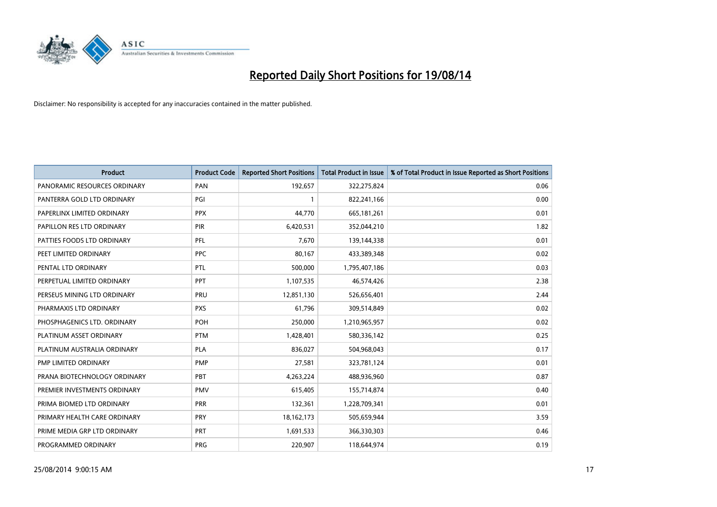

| <b>Product</b>               | <b>Product Code</b> | <b>Reported Short Positions</b> | <b>Total Product in Issue</b> | % of Total Product in Issue Reported as Short Positions |
|------------------------------|---------------------|---------------------------------|-------------------------------|---------------------------------------------------------|
| PANORAMIC RESOURCES ORDINARY | PAN                 | 192,657                         | 322,275,824                   | 0.06                                                    |
| PANTERRA GOLD LTD ORDINARY   | PGI                 | $\mathbf{1}$                    | 822,241,166                   | 0.00                                                    |
| PAPERLINX LIMITED ORDINARY   | <b>PPX</b>          | 44,770                          | 665, 181, 261                 | 0.01                                                    |
| PAPILLON RES LTD ORDINARY    | <b>PIR</b>          | 6,420,531                       | 352,044,210                   | 1.82                                                    |
| PATTIES FOODS LTD ORDINARY   | PFL                 | 7,670                           | 139,144,338                   | 0.01                                                    |
| PEET LIMITED ORDINARY        | <b>PPC</b>          | 80,167                          | 433,389,348                   | 0.02                                                    |
| PENTAL LTD ORDINARY          | PTL                 | 500,000                         | 1,795,407,186                 | 0.03                                                    |
| PERPETUAL LIMITED ORDINARY   | PPT                 | 1,107,535                       | 46,574,426                    | 2.38                                                    |
| PERSEUS MINING LTD ORDINARY  | <b>PRU</b>          | 12,851,130                      | 526,656,401                   | 2.44                                                    |
| PHARMAXIS LTD ORDINARY       | <b>PXS</b>          | 61,796                          | 309,514,849                   | 0.02                                                    |
| PHOSPHAGENICS LTD. ORDINARY  | POH                 | 250,000                         | 1,210,965,957                 | 0.02                                                    |
| PLATINUM ASSET ORDINARY      | <b>PTM</b>          | 1,428,401                       | 580,336,142                   | 0.25                                                    |
| PLATINUM AUSTRALIA ORDINARY  | <b>PLA</b>          | 836,027                         | 504,968,043                   | 0.17                                                    |
| PMP LIMITED ORDINARY         | <b>PMP</b>          | 27,581                          | 323,781,124                   | 0.01                                                    |
| PRANA BIOTECHNOLOGY ORDINARY | <b>PBT</b>          | 4,263,224                       | 488,936,960                   | 0.87                                                    |
| PREMIER INVESTMENTS ORDINARY | <b>PMV</b>          | 615,405                         | 155,714,874                   | 0.40                                                    |
| PRIMA BIOMED LTD ORDINARY    | <b>PRR</b>          | 132,361                         | 1,228,709,341                 | 0.01                                                    |
| PRIMARY HEALTH CARE ORDINARY | PRY                 | 18, 162, 173                    | 505,659,944                   | 3.59                                                    |
| PRIME MEDIA GRP LTD ORDINARY | <b>PRT</b>          | 1,691,533                       | 366,330,303                   | 0.46                                                    |
| PROGRAMMED ORDINARY          | <b>PRG</b>          | 220,907                         | 118,644,974                   | 0.19                                                    |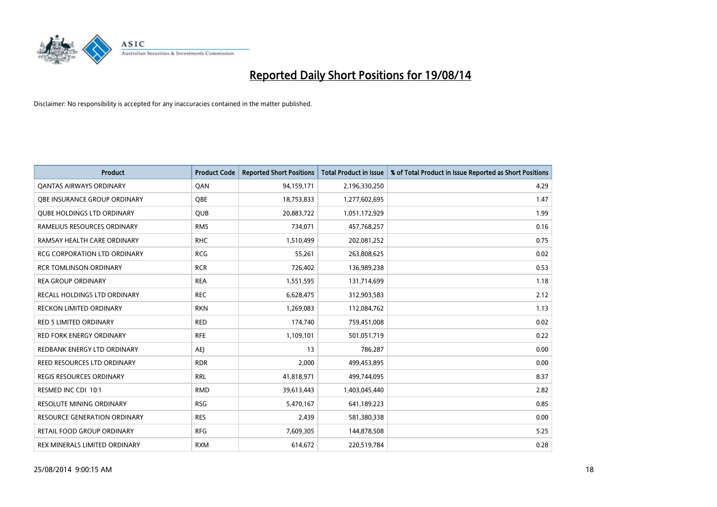

| <b>Product</b>                      | <b>Product Code</b> | <b>Reported Short Positions</b> | <b>Total Product in Issue</b> | % of Total Product in Issue Reported as Short Positions |
|-------------------------------------|---------------------|---------------------------------|-------------------------------|---------------------------------------------------------|
| <b>QANTAS AIRWAYS ORDINARY</b>      | QAN                 | 94,159,171                      | 2,196,330,250                 | 4.29                                                    |
| OBE INSURANCE GROUP ORDINARY        | QBE                 | 18,753,833                      | 1,277,602,695                 | 1.47                                                    |
| <b>QUBE HOLDINGS LTD ORDINARY</b>   | <b>QUB</b>          | 20,883,722                      | 1,051,172,929                 | 1.99                                                    |
| RAMELIUS RESOURCES ORDINARY         | <b>RMS</b>          | 734,071                         | 457,768,257                   | 0.16                                                    |
| RAMSAY HEALTH CARE ORDINARY         | <b>RHC</b>          | 1,510,499                       | 202,081,252                   | 0.75                                                    |
| <b>RCG CORPORATION LTD ORDINARY</b> | <b>RCG</b>          | 55,261                          | 263,808,625                   | 0.02                                                    |
| <b>RCR TOMLINSON ORDINARY</b>       | <b>RCR</b>          | 726,402                         | 136,989,238                   | 0.53                                                    |
| <b>REA GROUP ORDINARY</b>           | <b>REA</b>          | 1,551,595                       | 131,714,699                   | 1.18                                                    |
| <b>RECALL HOLDINGS LTD ORDINARY</b> | <b>REC</b>          | 6,628,475                       | 312,903,583                   | 2.12                                                    |
| RECKON LIMITED ORDINARY             | <b>RKN</b>          | 1,269,083                       | 112,084,762                   | 1.13                                                    |
| RED 5 LIMITED ORDINARY              | <b>RED</b>          | 174,740                         | 759,451,008                   | 0.02                                                    |
| <b>RED FORK ENERGY ORDINARY</b>     | <b>RFE</b>          | 1,109,101                       | 501,051,719                   | 0.22                                                    |
| REDBANK ENERGY LTD ORDINARY         | AEJ                 | 13                              | 786,287                       | 0.00                                                    |
| <b>REED RESOURCES LTD ORDINARY</b>  | <b>RDR</b>          | 2,000                           | 499,453,895                   | 0.00                                                    |
| <b>REGIS RESOURCES ORDINARY</b>     | <b>RRL</b>          | 41,818,971                      | 499,744,095                   | 8.37                                                    |
| RESMED INC CDI 10:1                 | <b>RMD</b>          | 39,613,443                      | 1,403,045,440                 | 2.82                                                    |
| RESOLUTE MINING ORDINARY            | <b>RSG</b>          | 5,470,167                       | 641,189,223                   | 0.85                                                    |
| <b>RESOURCE GENERATION ORDINARY</b> | <b>RES</b>          | 2,439                           | 581,380,338                   | 0.00                                                    |
| <b>RETAIL FOOD GROUP ORDINARY</b>   | <b>RFG</b>          | 7,609,305                       | 144,878,508                   | 5.25                                                    |
| REX MINERALS LIMITED ORDINARY       | <b>RXM</b>          | 614,672                         | 220,519,784                   | 0.28                                                    |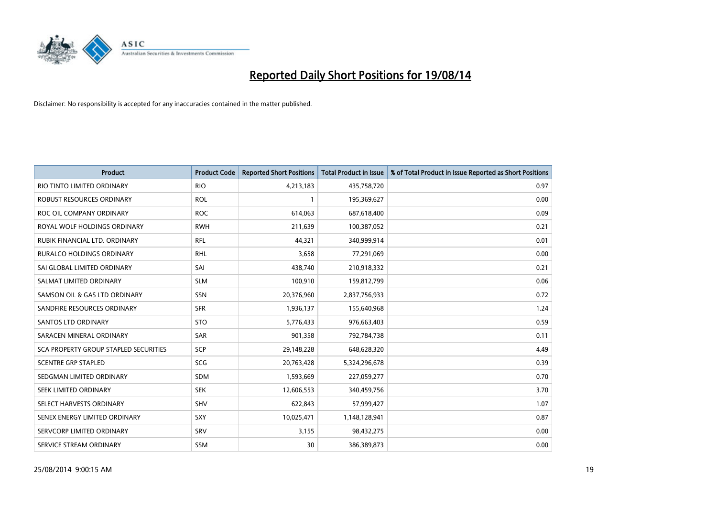

| <b>Product</b>                        | <b>Product Code</b> | <b>Reported Short Positions</b> | <b>Total Product in Issue</b> | % of Total Product in Issue Reported as Short Positions |
|---------------------------------------|---------------------|---------------------------------|-------------------------------|---------------------------------------------------------|
| RIO TINTO LIMITED ORDINARY            | <b>RIO</b>          | 4,213,183                       | 435,758,720                   | 0.97                                                    |
| ROBUST RESOURCES ORDINARY             | <b>ROL</b>          |                                 | 195,369,627                   | 0.00                                                    |
| ROC OIL COMPANY ORDINARY              | <b>ROC</b>          | 614,063                         | 687,618,400                   | 0.09                                                    |
| ROYAL WOLF HOLDINGS ORDINARY          | <b>RWH</b>          | 211,639                         | 100,387,052                   | 0.21                                                    |
| RUBIK FINANCIAL LTD. ORDINARY         | RFL                 | 44,321                          | 340,999,914                   | 0.01                                                    |
| <b>RURALCO HOLDINGS ORDINARY</b>      | <b>RHL</b>          | 3,658                           | 77,291,069                    | 0.00                                                    |
| SAI GLOBAL LIMITED ORDINARY           | SAI                 | 438,740                         | 210,918,332                   | 0.21                                                    |
| SALMAT LIMITED ORDINARY               | <b>SLM</b>          | 100,910                         | 159,812,799                   | 0.06                                                    |
| SAMSON OIL & GAS LTD ORDINARY         | SSN                 | 20,376,960                      | 2,837,756,933                 | 0.72                                                    |
| SANDFIRE RESOURCES ORDINARY           | <b>SFR</b>          | 1,936,137                       | 155,640,968                   | 1.24                                                    |
| SANTOS LTD ORDINARY                   | <b>STO</b>          | 5,776,433                       | 976,663,403                   | 0.59                                                    |
| SARACEN MINERAL ORDINARY              | SAR                 | 901,358                         | 792,784,738                   | 0.11                                                    |
| SCA PROPERTY GROUP STAPLED SECURITIES | <b>SCP</b>          | 29,148,228                      | 648,628,320                   | 4.49                                                    |
| <b>SCENTRE GRP STAPLED</b>            | SCG                 | 20,763,428                      | 5,324,296,678                 | 0.39                                                    |
| SEDGMAN LIMITED ORDINARY              | SDM                 | 1,593,669                       | 227,059,277                   | 0.70                                                    |
| SEEK LIMITED ORDINARY                 | <b>SEK</b>          | 12,606,553                      | 340,459,756                   | 3.70                                                    |
| SELECT HARVESTS ORDINARY              | SHV                 | 622,843                         | 57,999,427                    | 1.07                                                    |
| SENEX ENERGY LIMITED ORDINARY         | <b>SXY</b>          | 10,025,471                      | 1,148,128,941                 | 0.87                                                    |
| SERVCORP LIMITED ORDINARY             | SRV                 | 3,155                           | 98,432,275                    | 0.00                                                    |
| SERVICE STREAM ORDINARY               | <b>SSM</b>          | 30                              | 386,389,873                   | 0.00                                                    |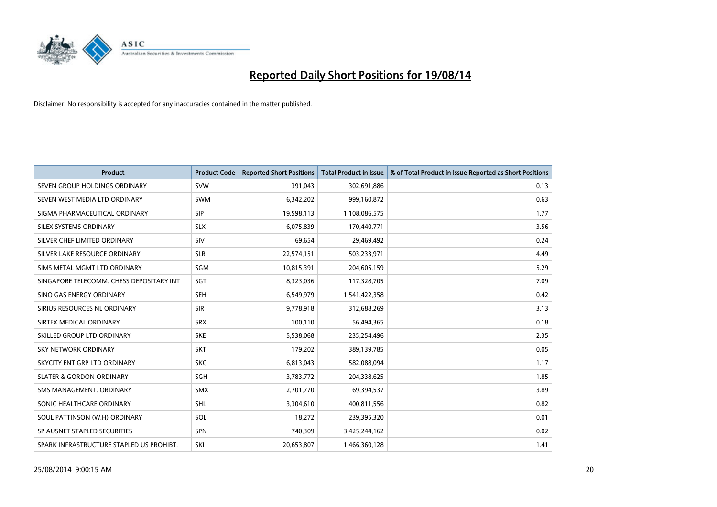

| <b>Product</b>                           | <b>Product Code</b> | <b>Reported Short Positions</b> | <b>Total Product in Issue</b> | % of Total Product in Issue Reported as Short Positions |
|------------------------------------------|---------------------|---------------------------------|-------------------------------|---------------------------------------------------------|
| SEVEN GROUP HOLDINGS ORDINARY            | <b>SVW</b>          | 391,043                         | 302,691,886                   | 0.13                                                    |
| SEVEN WEST MEDIA LTD ORDINARY            | <b>SWM</b>          | 6,342,202                       | 999,160,872                   | 0.63                                                    |
| SIGMA PHARMACEUTICAL ORDINARY            | <b>SIP</b>          | 19,598,113                      | 1,108,086,575                 | 1.77                                                    |
| SILEX SYSTEMS ORDINARY                   | <b>SLX</b>          | 6,075,839                       | 170,440,771                   | 3.56                                                    |
| SILVER CHEF LIMITED ORDINARY             | SIV                 | 69,654                          | 29,469,492                    | 0.24                                                    |
| SILVER LAKE RESOURCE ORDINARY            | <b>SLR</b>          | 22,574,151                      | 503,233,971                   | 4.49                                                    |
| SIMS METAL MGMT LTD ORDINARY             | SGM                 | 10,815,391                      | 204,605,159                   | 5.29                                                    |
| SINGAPORE TELECOMM. CHESS DEPOSITARY INT | SGT                 | 8,323,036                       | 117,328,705                   | 7.09                                                    |
| SINO GAS ENERGY ORDINARY                 | <b>SEH</b>          | 6,549,979                       | 1,541,422,358                 | 0.42                                                    |
| SIRIUS RESOURCES NL ORDINARY             | <b>SIR</b>          | 9,778,918                       | 312,688,269                   | 3.13                                                    |
| SIRTEX MEDICAL ORDINARY                  | <b>SRX</b>          | 100,110                         | 56,494,365                    | 0.18                                                    |
| SKILLED GROUP LTD ORDINARY               | <b>SKE</b>          | 5,538,068                       | 235,254,496                   | 2.35                                                    |
| <b>SKY NETWORK ORDINARY</b>              | <b>SKT</b>          | 179,202                         | 389,139,785                   | 0.05                                                    |
| SKYCITY ENT GRP LTD ORDINARY             | <b>SKC</b>          | 6,813,043                       | 582,088,094                   | 1.17                                                    |
| <b>SLATER &amp; GORDON ORDINARY</b>      | SGH                 | 3,783,772                       | 204,338,625                   | 1.85                                                    |
| SMS MANAGEMENT, ORDINARY                 | SMX                 | 2,701,770                       | 69,394,537                    | 3.89                                                    |
| SONIC HEALTHCARE ORDINARY                | <b>SHL</b>          | 3,304,610                       | 400,811,556                   | 0.82                                                    |
| SOUL PATTINSON (W.H) ORDINARY            | SOL                 | 18,272                          | 239,395,320                   | 0.01                                                    |
| SP AUSNET STAPLED SECURITIES             | <b>SPN</b>          | 740,309                         | 3,425,244,162                 | 0.02                                                    |
| SPARK INFRASTRUCTURE STAPLED US PROHIBT. | SKI                 | 20,653,807                      | 1,466,360,128                 | 1.41                                                    |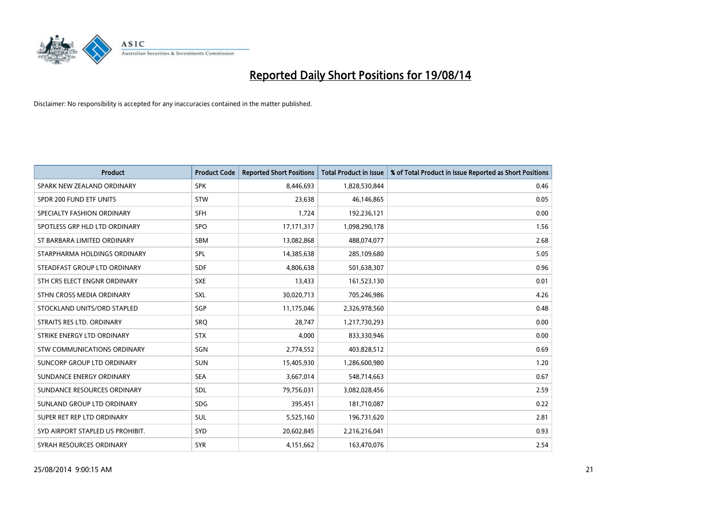

| <b>Product</b>                   | <b>Product Code</b> | <b>Reported Short Positions</b> | <b>Total Product in Issue</b> | % of Total Product in Issue Reported as Short Positions |
|----------------------------------|---------------------|---------------------------------|-------------------------------|---------------------------------------------------------|
| SPARK NEW ZEALAND ORDINARY       | <b>SPK</b>          | 8,446,693                       | 1,828,530,844                 | 0.46                                                    |
| SPDR 200 FUND ETF UNITS          | <b>STW</b>          | 23,638                          | 46,146,865                    | 0.05                                                    |
| SPECIALTY FASHION ORDINARY       | <b>SFH</b>          | 1,724                           | 192,236,121                   | 0.00                                                    |
| SPOTLESS GRP HLD LTD ORDINARY    | <b>SPO</b>          | 17, 171, 317                    | 1,098,290,178                 | 1.56                                                    |
| ST BARBARA LIMITED ORDINARY      | <b>SBM</b>          | 13,082,868                      | 488,074,077                   | 2.68                                                    |
| STARPHARMA HOLDINGS ORDINARY     | <b>SPL</b>          | 14,385,638                      | 285,109,680                   | 5.05                                                    |
| STEADFAST GROUP LTD ORDINARY     | <b>SDF</b>          | 4,806,638                       | 501,638,307                   | 0.96                                                    |
| STH CRS ELECT ENGNR ORDINARY     | <b>SXE</b>          | 13,433                          | 161,523,130                   | 0.01                                                    |
| STHN CROSS MEDIA ORDINARY        | <b>SXL</b>          | 30,020,713                      | 705,246,986                   | 4.26                                                    |
| STOCKLAND UNITS/ORD STAPLED      | SGP                 | 11,175,046                      | 2,326,978,560                 | 0.48                                                    |
| STRAITS RES LTD. ORDINARY        | SRQ                 | 28,747                          | 1,217,730,293                 | 0.00                                                    |
| STRIKE ENERGY LTD ORDINARY       | <b>STX</b>          | 4,000                           | 833,330,946                   | 0.00                                                    |
| STW COMMUNICATIONS ORDINARY      | SGN                 | 2,774,552                       | 403,828,512                   | 0.69                                                    |
| SUNCORP GROUP LTD ORDINARY       | <b>SUN</b>          | 15,405,930                      | 1,286,600,980                 | 1.20                                                    |
| SUNDANCE ENERGY ORDINARY         | <b>SEA</b>          | 3,667,014                       | 548,714,663                   | 0.67                                                    |
| SUNDANCE RESOURCES ORDINARY      | <b>SDL</b>          | 79,756,031                      | 3,082,028,456                 | 2.59                                                    |
| SUNLAND GROUP LTD ORDINARY       | <b>SDG</b>          | 395,451                         | 181,710,087                   | 0.22                                                    |
| SUPER RET REP LTD ORDINARY       | <b>SUL</b>          | 5,525,160                       | 196,731,620                   | 2.81                                                    |
| SYD AIRPORT STAPLED US PROHIBIT. | SYD                 | 20,602,845                      | 2,216,216,041                 | 0.93                                                    |
| SYRAH RESOURCES ORDINARY         | <b>SYR</b>          | 4,151,662                       | 163,470,076                   | 2.54                                                    |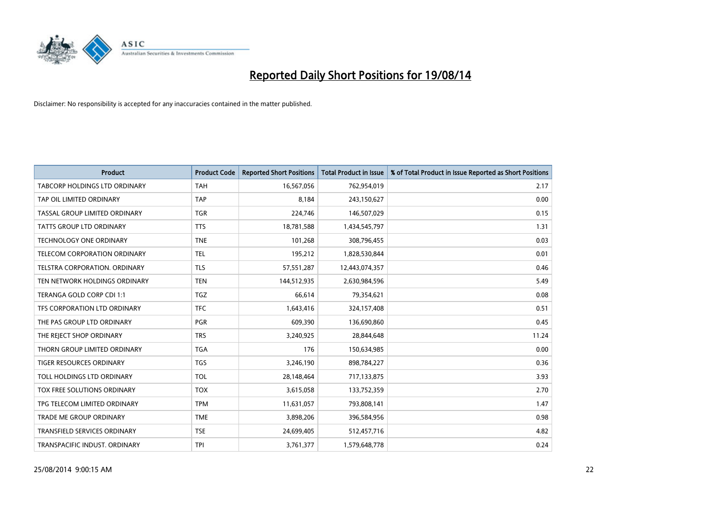

| <b>Product</b>                      | <b>Product Code</b> | <b>Reported Short Positions</b> | <b>Total Product in Issue</b> | % of Total Product in Issue Reported as Short Positions |
|-------------------------------------|---------------------|---------------------------------|-------------------------------|---------------------------------------------------------|
| TABCORP HOLDINGS LTD ORDINARY       | <b>TAH</b>          | 16,567,056                      | 762,954,019                   | 2.17                                                    |
| TAP OIL LIMITED ORDINARY            | <b>TAP</b>          | 8,184                           | 243,150,627                   | 0.00                                                    |
| TASSAL GROUP LIMITED ORDINARY       | <b>TGR</b>          | 224,746                         | 146,507,029                   | 0.15                                                    |
| TATTS GROUP LTD ORDINARY            | <b>TTS</b>          | 18,781,588                      | 1,434,545,797                 | 1.31                                                    |
| <b>TECHNOLOGY ONE ORDINARY</b>      | <b>TNE</b>          | 101,268                         | 308,796,455                   | 0.03                                                    |
| TELECOM CORPORATION ORDINARY        | <b>TEL</b>          | 195,212                         | 1,828,530,844                 | 0.01                                                    |
| TELSTRA CORPORATION, ORDINARY       | <b>TLS</b>          | 57,551,287                      | 12,443,074,357                | 0.46                                                    |
| TEN NETWORK HOLDINGS ORDINARY       | <b>TEN</b>          | 144,512,935                     | 2,630,984,596                 | 5.49                                                    |
| TERANGA GOLD CORP CDI 1:1           | <b>TGZ</b>          | 66,614                          | 79,354,621                    | 0.08                                                    |
| TFS CORPORATION LTD ORDINARY        | <b>TFC</b>          | 1,643,416                       | 324,157,408                   | 0.51                                                    |
| THE PAS GROUP LTD ORDINARY          | <b>PGR</b>          | 609,390                         | 136,690,860                   | 0.45                                                    |
| THE REJECT SHOP ORDINARY            | <b>TRS</b>          | 3,240,925                       | 28,844,648                    | 11.24                                                   |
| THORN GROUP LIMITED ORDINARY        | <b>TGA</b>          | 176                             | 150,634,985                   | 0.00                                                    |
| TIGER RESOURCES ORDINARY            | TGS                 | 3,246,190                       | 898,784,227                   | 0.36                                                    |
| TOLL HOLDINGS LTD ORDINARY          | <b>TOL</b>          | 28,148,464                      | 717,133,875                   | 3.93                                                    |
| TOX FREE SOLUTIONS ORDINARY         | <b>TOX</b>          | 3,615,058                       | 133,752,359                   | 2.70                                                    |
| TPG TELECOM LIMITED ORDINARY        | <b>TPM</b>          | 11,631,057                      | 793,808,141                   | 1.47                                                    |
| TRADE ME GROUP ORDINARY             | <b>TME</b>          | 3,898,206                       | 396,584,956                   | 0.98                                                    |
| <b>TRANSFIELD SERVICES ORDINARY</b> | <b>TSE</b>          | 24,699,405                      | 512,457,716                   | 4.82                                                    |
| TRANSPACIFIC INDUST. ORDINARY       | <b>TPI</b>          | 3,761,377                       | 1,579,648,778                 | 0.24                                                    |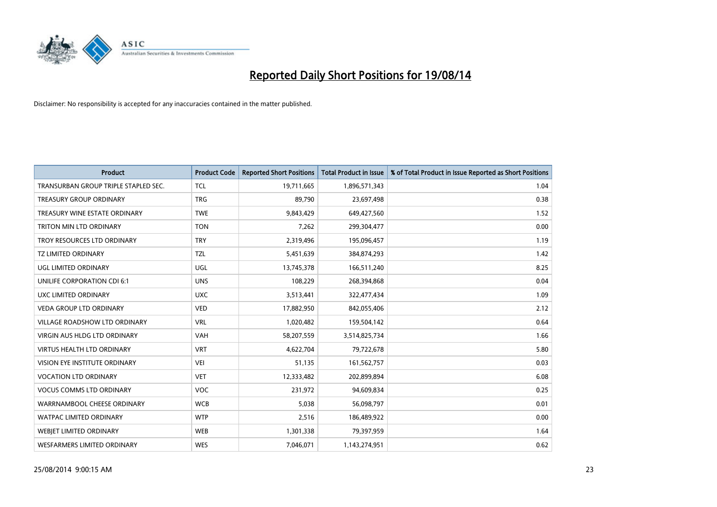

| <b>Product</b>                       | <b>Product Code</b> | <b>Reported Short Positions</b> | <b>Total Product in Issue</b> | % of Total Product in Issue Reported as Short Positions |
|--------------------------------------|---------------------|---------------------------------|-------------------------------|---------------------------------------------------------|
| TRANSURBAN GROUP TRIPLE STAPLED SEC. | <b>TCL</b>          | 19,711,665                      | 1,896,571,343                 | 1.04                                                    |
| <b>TREASURY GROUP ORDINARY</b>       | <b>TRG</b>          | 89,790                          | 23,697,498                    | 0.38                                                    |
| TREASURY WINE ESTATE ORDINARY        | <b>TWE</b>          | 9,843,429                       | 649,427,560                   | 1.52                                                    |
| <b>TRITON MIN LTD ORDINARY</b>       | <b>TON</b>          | 7,262                           | 299,304,477                   | 0.00                                                    |
| TROY RESOURCES LTD ORDINARY          | <b>TRY</b>          | 2,319,496                       | 195,096,457                   | 1.19                                                    |
| <b>TZ LIMITED ORDINARY</b>           | <b>TZL</b>          | 5,451,639                       | 384,874,293                   | 1.42                                                    |
| UGL LIMITED ORDINARY                 | UGL                 | 13,745,378                      | 166,511,240                   | 8.25                                                    |
| UNILIFE CORPORATION CDI 6:1          | <b>UNS</b>          | 108,229                         | 268,394,868                   | 0.04                                                    |
| UXC LIMITED ORDINARY                 | <b>UXC</b>          | 3,513,441                       | 322,477,434                   | 1.09                                                    |
| VEDA GROUP LTD ORDINARY              | <b>VED</b>          | 17,882,950                      | 842,055,406                   | 2.12                                                    |
| VILLAGE ROADSHOW LTD ORDINARY        | <b>VRL</b>          | 1,020,482                       | 159,504,142                   | 0.64                                                    |
| <b>VIRGIN AUS HLDG LTD ORDINARY</b>  | <b>VAH</b>          | 58,207,559                      | 3,514,825,734                 | 1.66                                                    |
| <b>VIRTUS HEALTH LTD ORDINARY</b>    | <b>VRT</b>          | 4,622,704                       | 79,722,678                    | 5.80                                                    |
| <b>VISION EYE INSTITUTE ORDINARY</b> | <b>VEI</b>          | 51,135                          | 161,562,757                   | 0.03                                                    |
| <b>VOCATION LTD ORDINARY</b>         | <b>VET</b>          | 12,333,482                      | 202,899,894                   | 6.08                                                    |
| <b>VOCUS COMMS LTD ORDINARY</b>      | VOC                 | 231,972                         | 94,609,834                    | 0.25                                                    |
| WARRNAMBOOL CHEESE ORDINARY          | <b>WCB</b>          | 5,038                           | 56,098,797                    | 0.01                                                    |
| <b>WATPAC LIMITED ORDINARY</b>       | <b>WTP</b>          | 2,516                           | 186,489,922                   | 0.00                                                    |
| WEBJET LIMITED ORDINARY              | <b>WEB</b>          | 1,301,338                       | 79,397,959                    | 1.64                                                    |
| <b>WESFARMERS LIMITED ORDINARY</b>   | <b>WES</b>          | 7,046,071                       | 1,143,274,951                 | 0.62                                                    |